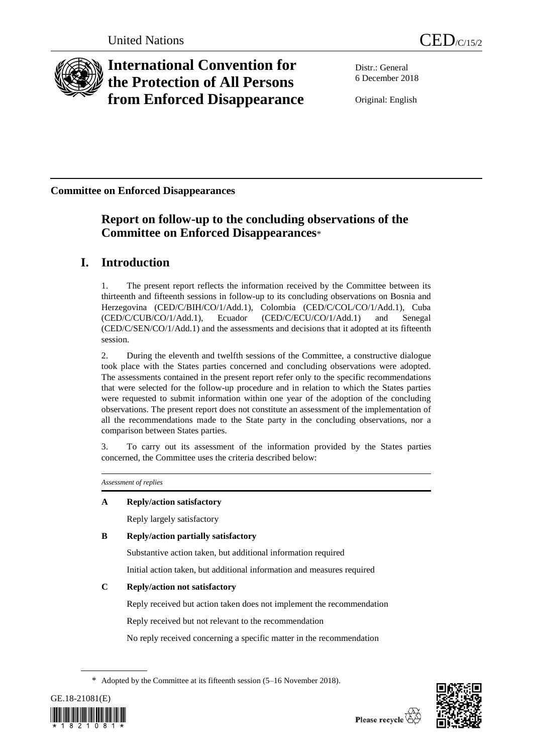

# **International Convention for the Protection of All Persons from Enforced Disappearance**

Distr.: General 6 December 2018

Original: English

**Committee on Enforced Disappearances**

## **Report on follow-up to the concluding observations of the Committee on Enforced Disappearances**\*

## **I. Introduction**

1. The present report reflects the information received by the Committee between its thirteenth and fifteenth sessions in follow-up to its concluding observations on Bosnia and Herzegovina (CED/C/BIH/CO/1/Add.1), Colombia (CED/C/COL/CO/1/Add.1), Cuba (CED/C/CUB/CO/1/Add.1), Ecuador (CED/C/ECU/CO/1/Add.1) and Senegal (CED/C/SEN/CO/1/Add.1) and the assessments and decisions that it adopted at its fifteenth session.

2. During the eleventh and twelfth sessions of the Committee, a constructive dialogue took place with the States parties concerned and concluding observations were adopted. The assessments contained in the present report refer only to the specific recommendations that were selected for the follow-up procedure and in relation to which the States parties were requested to submit information within one year of the adoption of the concluding observations. The present report does not constitute an assessment of the implementation of all the recommendations made to the State party in the concluding observations, nor a comparison between States parties.

3. To carry out its assessment of the information provided by the States parties concerned, the Committee uses the criteria described below:

*Assessment of replies*

## **A Reply/action satisfactory**

Reply largely satisfactory

## **B Reply/action partially satisfactory**

Substantive action taken, but additional information required

Initial action taken, but additional information and measures required

## **C Reply/action not satisfactory**

Reply received but action taken does not implement the recommendation

Reply received but not relevant to the recommendation

No reply received concerning a specific matter in the recommendation

<sup>\*</sup> Adopted by the Committee at its fifteenth session (5–16 November 2018).



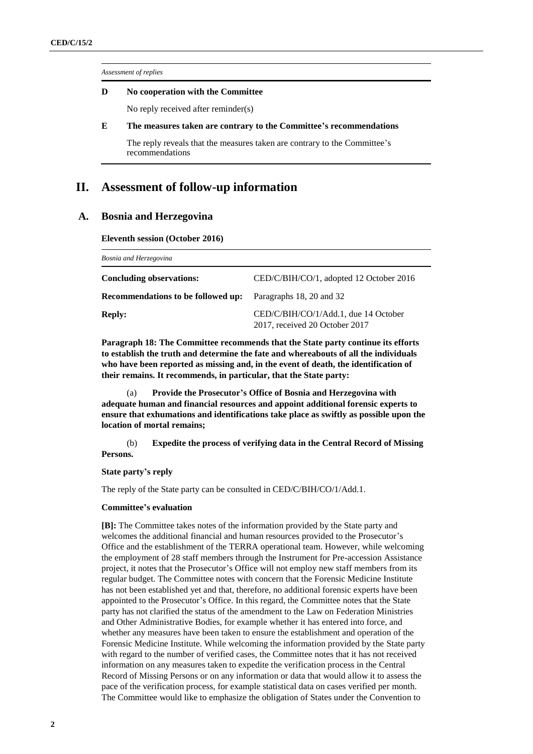*Assessment of replies*

### **D No cooperation with the Committee**

No reply received after reminder(s)

## **E The measures taken are contrary to the Committee's recommendations**

The reply reveals that the measures taken are contrary to the Committee's recommendations

## **II. Assessment of follow-up information**

## **A. Bosnia and Herzegovina**

**Eleventh session (October 2016)**

| Bosnia and Herzegovina                    |                                                                        |  |
|-------------------------------------------|------------------------------------------------------------------------|--|
| <b>Concluding observations:</b>           | CED/C/BIH/CO/1, adopted 12 October 2016                                |  |
| <b>Recommendations to be followed up:</b> | Paragraphs 18, 20 and 32                                               |  |
| <b>Reply:</b>                             | CED/C/BIH/CO/1/Add.1, due 14 October<br>2017, received 20 October 2017 |  |

**Paragraph 18: The Committee recommends that the State party continue its efforts to establish the truth and determine the fate and whereabouts of all the individuals who have been reported as missing and, in the event of death, the identification of their remains. It recommends, in particular, that the State party:**

(a) **Provide the Prosecutor's Office of Bosnia and Herzegovina with adequate human and financial resources and appoint additional forensic experts to ensure that exhumations and identifications take place as swiftly as possible upon the location of mortal remains;**

(b) **Expedite the process of verifying data in the Central Record of Missing Persons.**

**State party's reply**

The reply of the State party can be consulted in CED/C/BIH/CO/1/Add.1.

## **Committee's evaluation**

**[B]:** The Committee takes notes of the information provided by the State party and welcomes the additional financial and human resources provided to the Prosecutor's Office and the establishment of the TERRA operational team. However, while welcoming the employment of 28 staff members through the Instrument for Pre-accession Assistance project, it notes that the Prosecutor's Office will not employ new staff members from its regular budget. The Committee notes with concern that the Forensic Medicine Institute has not been established yet and that, therefore, no additional forensic experts have been appointed to the Prosecutor's Office. In this regard, the Committee notes that the State party has not clarified the status of the amendment to the Law on Federation Ministries and Other Administrative Bodies, for example whether it has entered into force, and whether any measures have been taken to ensure the establishment and operation of the Forensic Medicine Institute. While welcoming the information provided by the State party with regard to the number of verified cases, the Committee notes that it has not received information on any measures taken to expedite the verification process in the Central Record of Missing Persons or on any information or data that would allow it to assess the pace of the verification process, for example statistical data on cases verified per month. The Committee would like to emphasize the obligation of States under the Convention to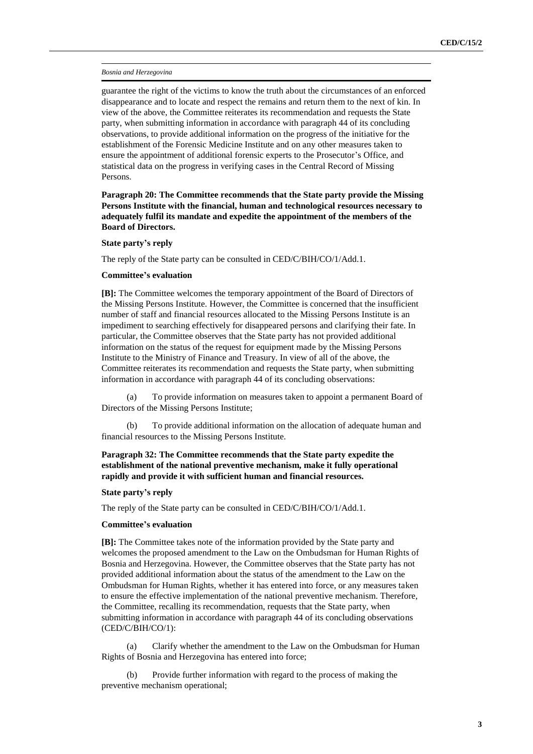#### *Bosnia and Herzegovina*

guarantee the right of the victims to know the truth about the circumstances of an enforced disappearance and to locate and respect the remains and return them to the next of kin. In view of the above, the Committee reiterates its recommendation and requests the State party, when submitting information in accordance with paragraph 44 of its concluding observations, to provide additional information on the progress of the initiative for the establishment of the Forensic Medicine Institute and on any other measures taken to ensure the appointment of additional forensic experts to the Prosecutor's Office, and statistical data on the progress in verifying cases in the Central Record of Missing Persons.

**Paragraph 20: The Committee recommends that the State party provide the Missing Persons Institute with the financial, human and technological resources necessary to adequately fulfil its mandate and expedite the appointment of the members of the Board of Directors.**

#### **State party's reply**

The reply of the State party can be consulted in CED/C/BIH/CO/1/Add.1.

#### **Committee's evaluation**

**[B]:** The Committee welcomes the temporary appointment of the Board of Directors of the Missing Persons Institute. However, the Committee is concerned that the insufficient number of staff and financial resources allocated to the Missing Persons Institute is an impediment to searching effectively for disappeared persons and clarifying their fate. In particular, the Committee observes that the State party has not provided additional information on the status of the request for equipment made by the Missing Persons Institute to the Ministry of Finance and Treasury. In view of all of the above, the Committee reiterates its recommendation and requests the State party, when submitting information in accordance with paragraph 44 of its concluding observations:

(a) To provide information on measures taken to appoint a permanent Board of Directors of the Missing Persons Institute;

(b) To provide additional information on the allocation of adequate human and financial resources to the Missing Persons Institute.

## **Paragraph 32: The Committee recommends that the State party expedite the establishment of the national preventive mechanism, make it fully operational rapidly and provide it with sufficient human and financial resources.**

### **State party's reply**

The reply of the State party can be consulted in CED/C/BIH/CO/1/Add.1.

### **Committee's evaluation**

**[B]:** The Committee takes note of the information provided by the State party and welcomes the proposed amendment to the Law on the Ombudsman for Human Rights of Bosnia and Herzegovina. However, the Committee observes that the State party has not provided additional information about the status of the amendment to the Law on the Ombudsman for Human Rights, whether it has entered into force, or any measures taken to ensure the effective implementation of the national preventive mechanism. Therefore, the Committee, recalling its recommendation, requests that the State party, when submitting information in accordance with paragraph 44 of its concluding observations (CED/C/BIH/CO/1):

(a) Clarify whether the amendment to the Law on the Ombudsman for Human Rights of Bosnia and Herzegovina has entered into force;

(b) Provide further information with regard to the process of making the preventive mechanism operational;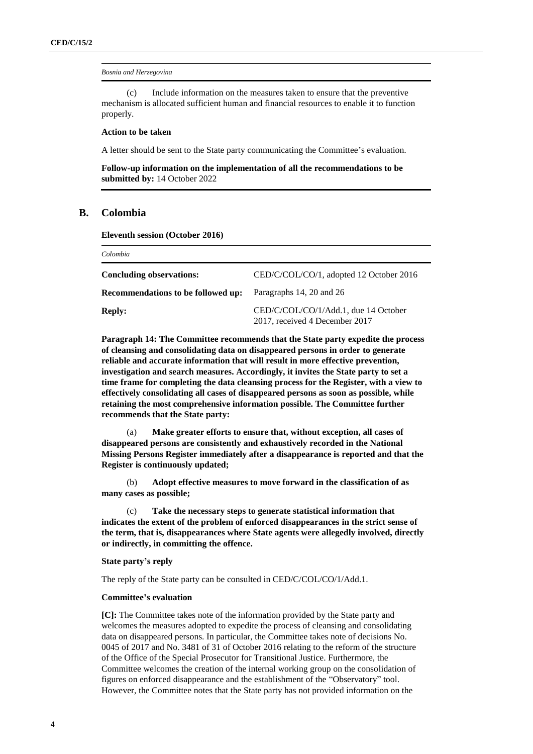#### *Bosnia and Herzegovina*

(c) Include information on the measures taken to ensure that the preventive mechanism is allocated sufficient human and financial resources to enable it to function properly.

#### **Action to be taken**

A letter should be sent to the State party communicating the Committee's evaluation.

**Follow-up information on the implementation of all the recommendations to be submitted by:** 14 October 2022

## **B. Colombia**

*Colombia*

**Eleventh session (October 2016)**

| Colombia                                  |                                                                        |
|-------------------------------------------|------------------------------------------------------------------------|
| <b>Concluding observations:</b>           | CED/C/COL/CO/1, adopted 12 October 2016                                |
| <b>Recommendations to be followed up:</b> | Paragraphs 14, 20 and 26                                               |
| <b>Reply:</b>                             | CED/C/COL/CO/1/Add.1, due 14 October<br>2017, received 4 December 2017 |

**Paragraph 14: The Committee recommends that the State party expedite the process of cleansing and consolidating data on disappeared persons in order to generate reliable and accurate information that will result in more effective prevention, investigation and search measures. Accordingly, it invites the State party to set a time frame for completing the data cleansing process for the Register, with a view to effectively consolidating all cases of disappeared persons as soon as possible, while retaining the most comprehensive information possible. The Committee further recommends that the State party:**

(a) **Make greater efforts to ensure that, without exception, all cases of disappeared persons are consistently and exhaustively recorded in the National Missing Persons Register immediately after a disappearance is reported and that the Register is continuously updated;**

(b) **Adopt effective measures to move forward in the classification of as many cases as possible;**

(c) **Take the necessary steps to generate statistical information that indicates the extent of the problem of enforced disappearances in the strict sense of the term, that is, disappearances where State agents were allegedly involved, directly or indirectly, in committing the offence.**

#### **State party's reply**

The reply of the State party can be consulted in CED/C/COL/CO/1/Add.1.

#### **Committee's evaluation**

**[C]:** The Committee takes note of the information provided by the State party and welcomes the measures adopted to expedite the process of cleansing and consolidating data on disappeared persons. In particular, the Committee takes note of decisions No. 0045 of 2017 and No. 3481 of 31 of October 2016 relating to the reform of the structure of the Office of the Special Prosecutor for Transitional Justice. Furthermore, the Committee welcomes the creation of the internal working group on the consolidation of figures on enforced disappearance and the establishment of the "Observatory" tool. However, the Committee notes that the State party has not provided information on the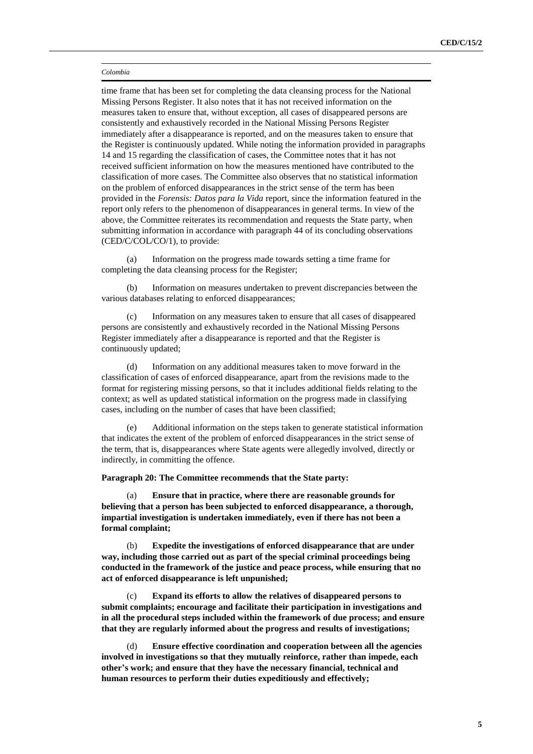time frame that has been set for completing the data cleansing process for the National Missing Persons Register. It also notes that it has not received information on the measures taken to ensure that, without exception, all cases of disappeared persons are consistently and exhaustively recorded in the National Missing Persons Register immediately after a disappearance is reported, and on the measures taken to ensure that the Register is continuously updated. While noting the information provided in paragraphs 14 and 15 regarding the classification of cases, the Committee notes that it has not received sufficient information on how the measures mentioned have contributed to the classification of more cases. The Committee also observes that no statistical information on the problem of enforced disappearances in the strict sense of the term has been provided in the *Forensis: Datos para la Vida* report, since the information featured in the report only refers to the phenomenon of disappearances in general terms. In view of the above, the Committee reiterates its recommendation and requests the State party, when submitting information in accordance with paragraph 44 of its concluding observations (CED/C/COL/CO/1), to provide:

(a) Information on the progress made towards setting a time frame for completing the data cleansing process for the Register;

(b) Information on measures undertaken to prevent discrepancies between the various databases relating to enforced disappearances;

(c) Information on any measures taken to ensure that all cases of disappeared persons are consistently and exhaustively recorded in the National Missing Persons Register immediately after a disappearance is reported and that the Register is continuously updated;

(d) Information on any additional measures taken to move forward in the classification of cases of enforced disappearance, apart from the revisions made to the format for registering missing persons, so that it includes additional fields relating to the context; as well as updated statistical information on the progress made in classifying cases, including on the number of cases that have been classified;

(e) Additional information on the steps taken to generate statistical information that indicates the extent of the problem of enforced disappearances in the strict sense of the term, that is, disappearances where State agents were allegedly involved, directly or indirectly, in committing the offence.

**Paragraph 20: The Committee recommends that the State party:**

(a) **Ensure that in practice, where there are reasonable grounds for believing that a person has been subjected to enforced disappearance, a thorough, impartial investigation is undertaken immediately, even if there has not been a formal complaint;**

(b) **Expedite the investigations of enforced disappearance that are under way, including those carried out as part of the special criminal proceedings being conducted in the framework of the justice and peace process, while ensuring that no act of enforced disappearance is left unpunished;**

(c) **Expand its efforts to allow the relatives of disappeared persons to submit complaints; encourage and facilitate their participation in investigations and in all the procedural steps included within the framework of due process; and ensure that they are regularly informed about the progress and results of investigations;**

(d) **Ensure effective coordination and cooperation between all the agencies involved in investigations so that they mutually reinforce, rather than impede, each other's work; and ensure that they have the necessary financial, technical and human resources to perform their duties expeditiously and effectively;**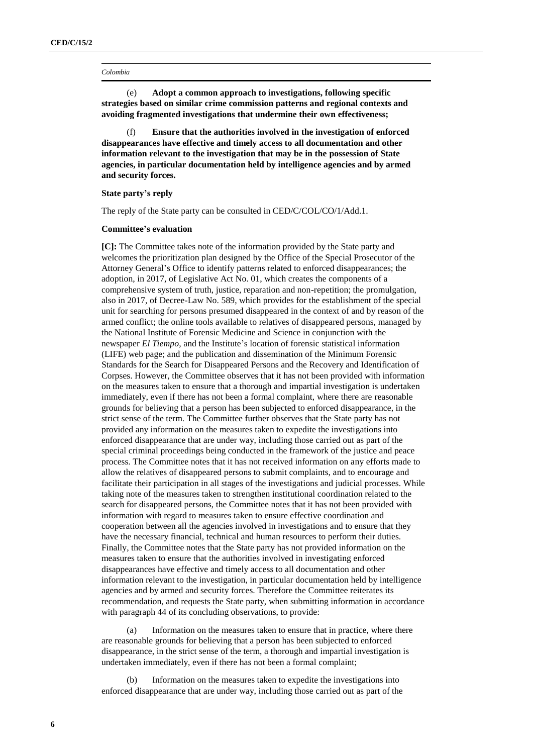(e) **Adopt a common approach to investigations, following specific strategies based on similar crime commission patterns and regional contexts and avoiding fragmented investigations that undermine their own effectiveness;**

(f) **Ensure that the authorities involved in the investigation of enforced disappearances have effective and timely access to all documentation and other information relevant to the investigation that may be in the possession of State agencies, in particular documentation held by intelligence agencies and by armed and security forces.**

#### **State party's reply**

The reply of the State party can be consulted in CED/C/COL/CO/1/Add.1.

#### **Committee's evaluation**

**[C]:** The Committee takes note of the information provided by the State party and welcomes the prioritization plan designed by the Office of the Special Prosecutor of the Attorney General's Office to identify patterns related to enforced disappearances; the adoption, in 2017, of Legislative Act No. 01, which creates the components of a comprehensive system of truth, justice, reparation and non-repetition; the promulgation, also in 2017, of Decree-Law No. 589, which provides for the establishment of the special unit for searching for persons presumed disappeared in the context of and by reason of the armed conflict; the online tools available to relatives of disappeared persons, managed by the National Institute of Forensic Medicine and Science in conjunction with the newspaper *El Tiempo*, and the Institute's location of forensic statistical information (LIFE) web page; and the publication and dissemination of the Minimum Forensic Standards for the Search for Disappeared Persons and the Recovery and Identification of Corpses. However, the Committee observes that it has not been provided with information on the measures taken to ensure that a thorough and impartial investigation is undertaken immediately, even if there has not been a formal complaint, where there are reasonable grounds for believing that a person has been subjected to enforced disappearance, in the strict sense of the term. The Committee further observes that the State party has not provided any information on the measures taken to expedite the investigations into enforced disappearance that are under way, including those carried out as part of the special criminal proceedings being conducted in the framework of the justice and peace process. The Committee notes that it has not received information on any efforts made to allow the relatives of disappeared persons to submit complaints, and to encourage and facilitate their participation in all stages of the investigations and judicial processes. While taking note of the measures taken to strengthen institutional coordination related to the search for disappeared persons, the Committee notes that it has not been provided with information with regard to measures taken to ensure effective coordination and cooperation between all the agencies involved in investigations and to ensure that they have the necessary financial, technical and human resources to perform their duties. Finally, the Committee notes that the State party has not provided information on the measures taken to ensure that the authorities involved in investigating enforced disappearances have effective and timely access to all documentation and other information relevant to the investigation, in particular documentation held by intelligence agencies and by armed and security forces. Therefore the Committee reiterates its recommendation, and requests the State party, when submitting information in accordance with paragraph 44 of its concluding observations, to provide:

(a) Information on the measures taken to ensure that in practice, where there are reasonable grounds for believing that a person has been subjected to enforced disappearance, in the strict sense of the term, a thorough and impartial investigation is undertaken immediately, even if there has not been a formal complaint;

Information on the measures taken to expedite the investigations into enforced disappearance that are under way, including those carried out as part of the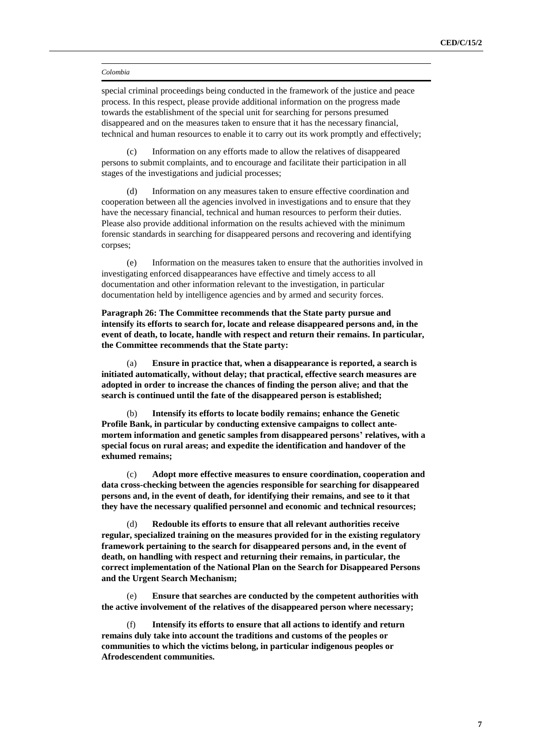special criminal proceedings being conducted in the framework of the justice and peace process. In this respect, please provide additional information on the progress made towards the establishment of the special unit for searching for persons presumed disappeared and on the measures taken to ensure that it has the necessary financial, technical and human resources to enable it to carry out its work promptly and effectively;

(c) Information on any efforts made to allow the relatives of disappeared persons to submit complaints, and to encourage and facilitate their participation in all stages of the investigations and judicial processes;

(d) Information on any measures taken to ensure effective coordination and cooperation between all the agencies involved in investigations and to ensure that they have the necessary financial, technical and human resources to perform their duties. Please also provide additional information on the results achieved with the minimum forensic standards in searching for disappeared persons and recovering and identifying corpses;

(e) Information on the measures taken to ensure that the authorities involved in investigating enforced disappearances have effective and timely access to all documentation and other information relevant to the investigation, in particular documentation held by intelligence agencies and by armed and security forces.

**Paragraph 26: The Committee recommends that the State party pursue and intensify its efforts to search for, locate and release disappeared persons and, in the event of death, to locate, handle with respect and return their remains. In particular, the Committee recommends that the State party:**

(a) **Ensure in practice that, when a disappearance is reported, a search is initiated automatically, without delay; that practical, effective search measures are adopted in order to increase the chances of finding the person alive; and that the search is continued until the fate of the disappeared person is established;**

(b) **Intensify its efforts to locate bodily remains; enhance the Genetic Profile Bank, in particular by conducting extensive campaigns to collect antemortem information and genetic samples from disappeared persons' relatives, with a special focus on rural areas; and expedite the identification and handover of the exhumed remains;**

(c) **Adopt more effective measures to ensure coordination, cooperation and data cross-checking between the agencies responsible for searching for disappeared persons and, in the event of death, for identifying their remains, and see to it that they have the necessary qualified personnel and economic and technical resources;**

(d) **Redouble its efforts to ensure that all relevant authorities receive regular, specialized training on the measures provided for in the existing regulatory framework pertaining to the search for disappeared persons and, in the event of death, on handling with respect and returning their remains, in particular, the correct implementation of the National Plan on the Search for Disappeared Persons and the Urgent Search Mechanism;**

(e) **Ensure that searches are conducted by the competent authorities with the active involvement of the relatives of the disappeared person where necessary;**

(f) **Intensify its efforts to ensure that all actions to identify and return remains duly take into account the traditions and customs of the peoples or communities to which the victims belong, in particular indigenous peoples or Afrodescendent communities.**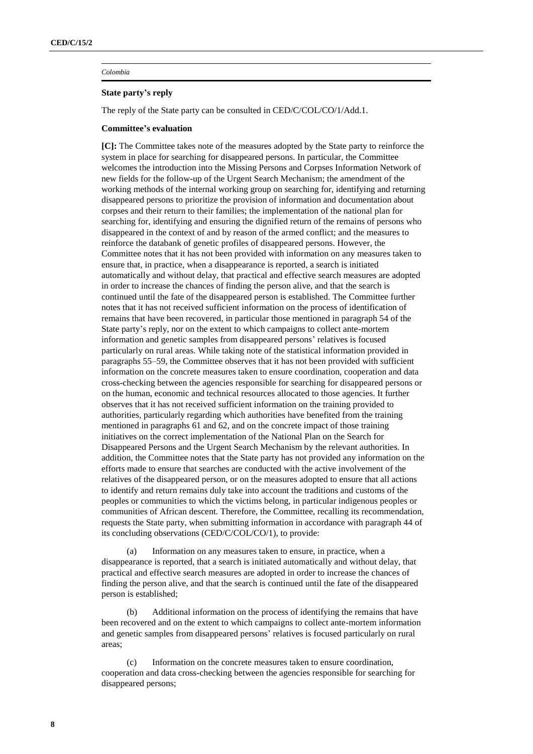## **State party's reply**

The reply of the State party can be consulted in CED/C/COL/CO/1/Add.1.

### **Committee's evaluation**

**[C]:** The Committee takes note of the measures adopted by the State party to reinforce the system in place for searching for disappeared persons. In particular, the Committee welcomes the introduction into the Missing Persons and Corpses Information Network of new fields for the follow-up of the Urgent Search Mechanism; the amendment of the working methods of the internal working group on searching for, identifying and returning disappeared persons to prioritize the provision of information and documentation about corpses and their return to their families; the implementation of the national plan for searching for, identifying and ensuring the dignified return of the remains of persons who disappeared in the context of and by reason of the armed conflict; and the measures to reinforce the databank of genetic profiles of disappeared persons. However, the Committee notes that it has not been provided with information on any measures taken to ensure that, in practice, when a disappearance is reported, a search is initiated automatically and without delay, that practical and effective search measures are adopted in order to increase the chances of finding the person alive, and that the search is continued until the fate of the disappeared person is established. The Committee further notes that it has not received sufficient information on the process of identification of remains that have been recovered, in particular those mentioned in paragraph 54 of the State party's reply, nor on the extent to which campaigns to collect ante-mortem information and genetic samples from disappeared persons' relatives is focused particularly on rural areas. While taking note of the statistical information provided in paragraphs 55–59, the Committee observes that it has not been provided with sufficient information on the concrete measures taken to ensure coordination, cooperation and data cross-checking between the agencies responsible for searching for disappeared persons or on the human, economic and technical resources allocated to those agencies. It further observes that it has not received sufficient information on the training provided to authorities, particularly regarding which authorities have benefited from the training mentioned in paragraphs 61 and 62, and on the concrete impact of those training initiatives on the correct implementation of the National Plan on the Search for Disappeared Persons and the Urgent Search Mechanism by the relevant authorities. In addition, the Committee notes that the State party has not provided any information on the efforts made to ensure that searches are conducted with the active involvement of the relatives of the disappeared person, or on the measures adopted to ensure that all actions to identify and return remains duly take into account the traditions and customs of the peoples or communities to which the victims belong, in particular indigenous peoples or communities of African descent. Therefore, the Committee, recalling its recommendation, requests the State party, when submitting information in accordance with paragraph 44 of its concluding observations (CED/C/COL/CO/1), to provide:

Information on any measures taken to ensure, in practice, when a disappearance is reported, that a search is initiated automatically and without delay, that practical and effective search measures are adopted in order to increase the chances of finding the person alive, and that the search is continued until the fate of the disappeared person is established;

(b) Additional information on the process of identifying the remains that have been recovered and on the extent to which campaigns to collect ante-mortem information and genetic samples from disappeared persons' relatives is focused particularly on rural areas;

(c) Information on the concrete measures taken to ensure coordination, cooperation and data cross-checking between the agencies responsible for searching for disappeared persons;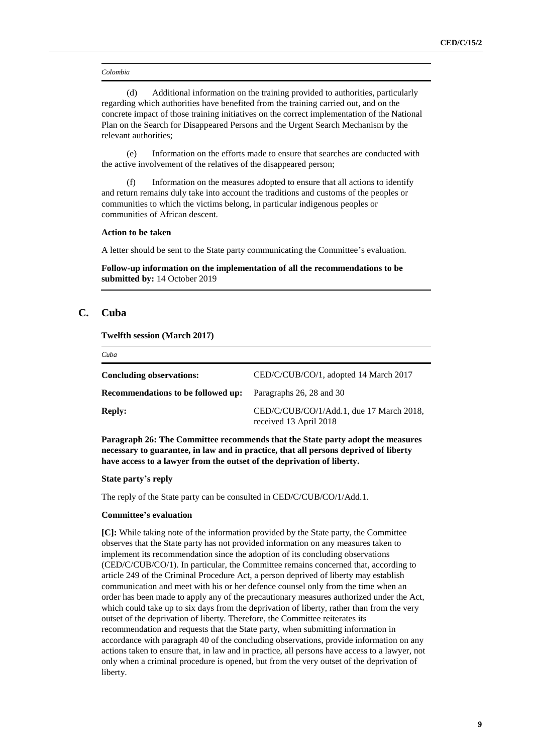(d) Additional information on the training provided to authorities, particularly regarding which authorities have benefited from the training carried out, and on the concrete impact of those training initiatives on the correct implementation of the National Plan on the Search for Disappeared Persons and the Urgent Search Mechanism by the relevant authorities;

(e) Information on the efforts made to ensure that searches are conducted with the active involvement of the relatives of the disappeared person;

(f) Information on the measures adopted to ensure that all actions to identify and return remains duly take into account the traditions and customs of the peoples or communities to which the victims belong, in particular indigenous peoples or communities of African descent.

### **Action to be taken**

A letter should be sent to the State party communicating the Committee's evaluation.

**Follow-up information on the implementation of all the recommendations to be submitted by:** 14 October 2019

## **C. Cuba**

*Cuba*

**Twelfth session (March 2017)**

| Concluding observations:           | CED/C/CUB/CO/1, adopted 14 March 2017                              |
|------------------------------------|--------------------------------------------------------------------|
| Recommendations to be followed up: | Paragraphs 26, 28 and 30                                           |
| <b>Reply:</b>                      | CED/C/CUB/CO/1/Add.1, due 17 March 2018,<br>received 13 April 2018 |

**Paragraph 26: The Committee recommends that the State party adopt the measures necessary to guarantee, in law and in practice, that all persons deprived of liberty have access to a lawyer from the outset of the deprivation of liberty.**

#### **State party's reply**

The reply of the State party can be consulted in CED/C/CUB/CO/1/Add.1.

#### **Committee's evaluation**

**[C]:** While taking note of the information provided by the State party, the Committee observes that the State party has not provided information on any measures taken to implement its recommendation since the adoption of its concluding observations (CED/C/CUB/CO/1). In particular, the Committee remains concerned that, according to article 249 of the Criminal Procedure Act, a person deprived of liberty may establish communication and meet with his or her defence counsel only from the time when an order has been made to apply any of the precautionary measures authorized under the Act, which could take up to six days from the deprivation of liberty, rather than from the very outset of the deprivation of liberty. Therefore, the Committee reiterates its recommendation and requests that the State party, when submitting information in accordance with paragraph 40 of the concluding observations, provide information on any actions taken to ensure that, in law and in practice, all persons have access to a lawyer, not only when a criminal procedure is opened, but from the very outset of the deprivation of liberty.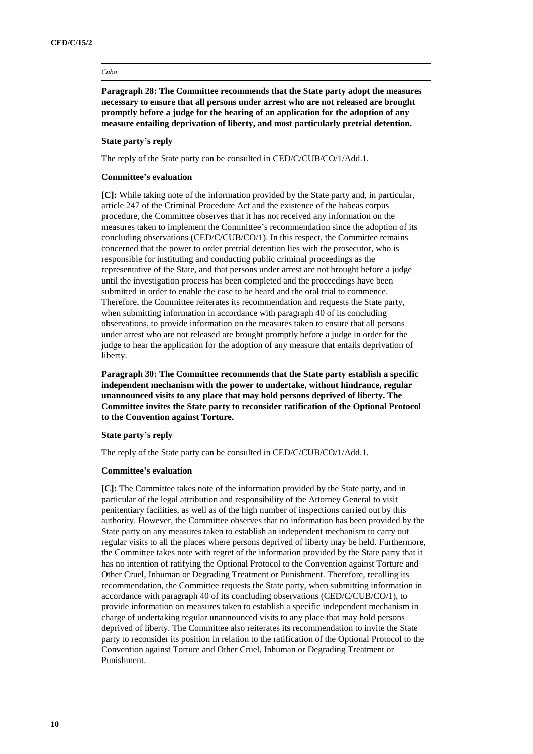#### *Cuba*

**Paragraph 28: The Committee recommends that the State party adopt the measures necessary to ensure that all persons under arrest who are not released are brought promptly before a judge for the hearing of an application for the adoption of any measure entailing deprivation of liberty, and most particularly pretrial detention.**

## **State party's reply**

The reply of the State party can be consulted in CED/C/CUB/CO/1/Add.1.

### **Committee's evaluation**

**[C]:** While taking note of the information provided by the State party and, in particular, article 247 of the Criminal Procedure Act and the existence of the habeas corpus procedure, the Committee observes that it has not received any information on the measures taken to implement the Committee's recommendation since the adoption of its concluding observations (CED/C/CUB/CO/1). In this respect, the Committee remains concerned that the power to order pretrial detention lies with the prosecutor, who is responsible for instituting and conducting public criminal proceedings as the representative of the State, and that persons under arrest are not brought before a judge until the investigation process has been completed and the proceedings have been submitted in order to enable the case to be heard and the oral trial to commence. Therefore, the Committee reiterates its recommendation and requests the State party, when submitting information in accordance with paragraph 40 of its concluding observations, to provide information on the measures taken to ensure that all persons under arrest who are not released are brought promptly before a judge in order for the judge to hear the application for the adoption of any measure that entails deprivation of liberty.

**Paragraph 30: The Committee recommends that the State party establish a specific independent mechanism with the power to undertake, without hindrance, regular unannounced visits to any place that may hold persons deprived of liberty. The Committee invites the State party to reconsider ratification of the Optional Protocol to the Convention against Torture.**

#### **State party's reply**

The reply of the State party can be consulted in CED/C/CUB/CO/1/Add.1.

### **Committee's evaluation**

**[C]:** The Committee takes note of the information provided by the State party, and in particular of the legal attribution and responsibility of the Attorney General to visit penitentiary facilities, as well as of the high number of inspections carried out by this authority. However, the Committee observes that no information has been provided by the State party on any measures taken to establish an independent mechanism to carry out regular visits to all the places where persons deprived of liberty may be held. Furthermore, the Committee takes note with regret of the information provided by the State party that it has no intention of ratifying the Optional Protocol to the Convention against Torture and Other Cruel, Inhuman or Degrading Treatment or Punishment. Therefore, recalling its recommendation, the Committee requests the State party, when submitting information in accordance with paragraph 40 of its concluding observations (CED/C/CUB/CO/1), to provide information on measures taken to establish a specific independent mechanism in charge of undertaking regular unannounced visits to any place that may hold persons deprived of liberty. The Committee also reiterates its recommendation to invite the State party to reconsider its position in relation to the ratification of the Optional Protocol to the Convention against Torture and Other Cruel, Inhuman or Degrading Treatment or Punishment.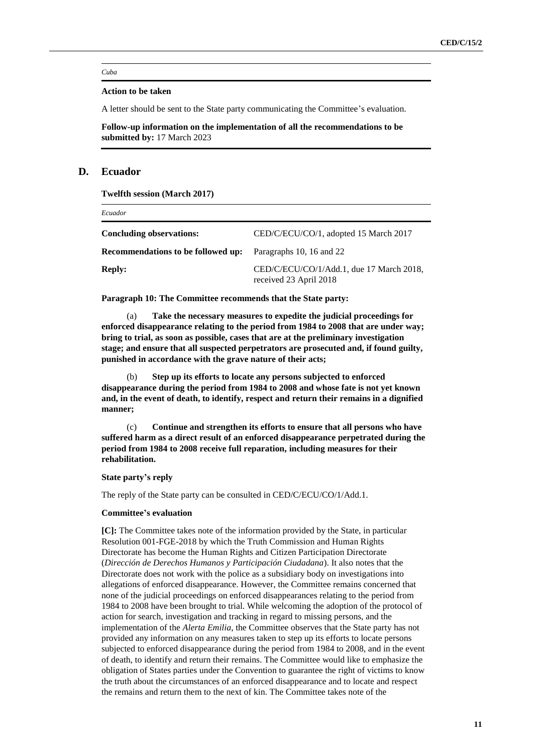#### *Cuba*

## **Action to be taken**

A letter should be sent to the State party communicating the Committee's evaluation.

**Follow-up information on the implementation of all the recommendations to be submitted by:** 17 March 2023

## **D. Ecuador**

**Twelfth session (March 2017)**

| Ecuador                            |                                                                    |  |
|------------------------------------|--------------------------------------------------------------------|--|
| Concluding observations:           | CED/C/ECU/CO/1, adopted 15 March 2017                              |  |
| Recommendations to be followed up: | Paragraphs 10, 16 and 22                                           |  |
| <b>Reply:</b>                      | CED/C/ECU/CO/1/Add.1, due 17 March 2018,<br>received 23 April 2018 |  |

**Paragraph 10: The Committee recommends that the State party:** 

Take the necessary measures to expedite the judicial proceedings for **enforced disappearance relating to the period from 1984 to 2008 that are under way; bring to trial, as soon as possible, cases that are at the preliminary investigation stage; and ensure that all suspected perpetrators are prosecuted and, if found guilty, punished in accordance with the grave nature of their acts;**

(b) **Step up its efforts to locate any persons subjected to enforced disappearance during the period from 1984 to 2008 and whose fate is not yet known and, in the event of death, to identify, respect and return their remains in a dignified manner;**

(c) **Continue and strengthen its efforts to ensure that all persons who have suffered harm as a direct result of an enforced disappearance perpetrated during the period from 1984 to 2008 receive full reparation, including measures for their rehabilitation.**

### **State party's reply**

The reply of the State party can be consulted in CED/C/ECU/CO/1/Add.1.

## **Committee's evaluation**

**[C]:** The Committee takes note of the information provided by the State, in particular Resolution 001-FGE-2018 by which the Truth Commission and Human Rights Directorate has become the Human Rights and Citizen Participation Directorate (*Dirección de Derechos Humanos y Participación Ciudadana*). It also notes that the Directorate does not work with the police as a subsidiary body on investigations into allegations of enforced disappearance. However, the Committee remains concerned that none of the judicial proceedings on enforced disappearances relating to the period from 1984 to 2008 have been brought to trial. While welcoming the adoption of the protocol of action for search, investigation and tracking in regard to missing persons, and the implementation of the *Alerta Emilia*, the Committee observes that the State party has not provided any information on any measures taken to step up its efforts to locate persons subjected to enforced disappearance during the period from 1984 to 2008, and in the event of death, to identify and return their remains. The Committee would like to emphasize the obligation of States parties under the Convention to guarantee the right of victims to know the truth about the circumstances of an enforced disappearance and to locate and respect the remains and return them to the next of kin. The Committee takes note of the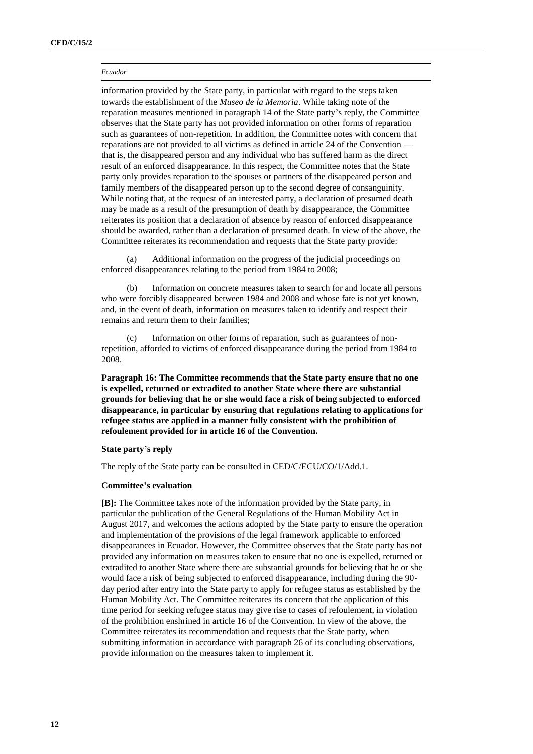#### *Ecuador*

information provided by the State party, in particular with regard to the steps taken towards the establishment of the *Museo de la Memoria*. While taking note of the reparation measures mentioned in paragraph 14 of the State party's reply, the Committee observes that the State party has not provided information on other forms of reparation such as guarantees of non-repetition. In addition, the Committee notes with concern that reparations are not provided to all victims as defined in article 24 of the Convention that is, the disappeared person and any individual who has suffered harm as the direct result of an enforced disappearance. In this respect, the Committee notes that the State party only provides reparation to the spouses or partners of the disappeared person and family members of the disappeared person up to the second degree of consanguinity. While noting that, at the request of an interested party, a declaration of presumed death may be made as a result of the presumption of death by disappearance, the Committee reiterates its position that a declaration of absence by reason of enforced disappearance should be awarded, rather than a declaration of presumed death. In view of the above, the Committee reiterates its recommendation and requests that the State party provide:

Additional information on the progress of the judicial proceedings on enforced disappearances relating to the period from 1984 to 2008;

(b) Information on concrete measures taken to search for and locate all persons who were forcibly disappeared between 1984 and 2008 and whose fate is not yet known, and, in the event of death, information on measures taken to identify and respect their remains and return them to their families;

(c) Information on other forms of reparation, such as guarantees of nonrepetition, afforded to victims of enforced disappearance during the period from 1984 to 2008.

**Paragraph 16: The Committee recommends that the State party ensure that no one is expelled, returned or extradited to another State where there are substantial grounds for believing that he or she would face a risk of being subjected to enforced disappearance, in particular by ensuring that regulations relating to applications for refugee status are applied in a manner fully consistent with the prohibition of refoulement provided for in article 16 of the Convention.**

## **State party's reply**

The reply of the State party can be consulted in CED/C/ECU/CO/1/Add.1.

## **Committee's evaluation**

**[B]:** The Committee takes note of the information provided by the State party, in particular the publication of the General Regulations of the Human Mobility Act in August 2017, and welcomes the actions adopted by the State party to ensure the operation and implementation of the provisions of the legal framework applicable to enforced disappearances in Ecuador. However, the Committee observes that the State party has not provided any information on measures taken to ensure that no one is expelled, returned or extradited to another State where there are substantial grounds for believing that he or she would face a risk of being subjected to enforced disappearance, including during the 90 day period after entry into the State party to apply for refugee status as established by the Human Mobility Act. The Committee reiterates its concern that the application of this time period for seeking refugee status may give rise to cases of refoulement, in violation of the prohibition enshrined in article 16 of the Convention. In view of the above, the Committee reiterates its recommendation and requests that the State party, when submitting information in accordance with paragraph 26 of its concluding observations, provide information on the measures taken to implement it.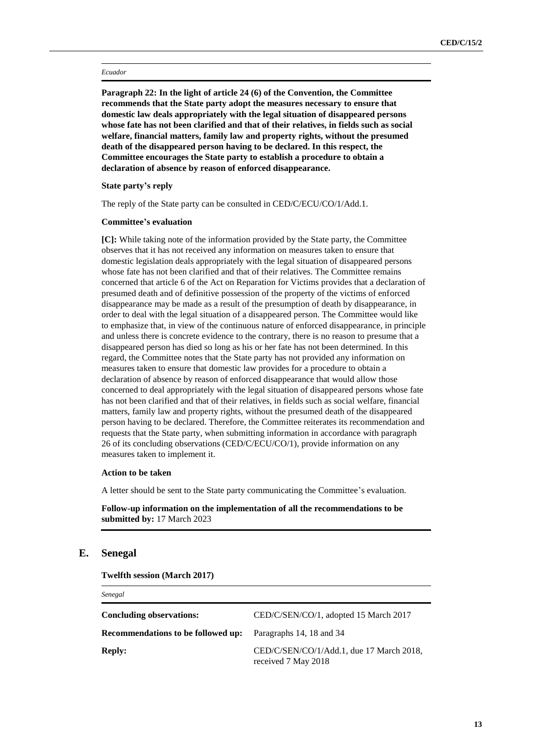#### *Ecuador*

**Paragraph 22: In the light of article 24 (6) of the Convention, the Committee recommends that the State party adopt the measures necessary to ensure that domestic law deals appropriately with the legal situation of disappeared persons whose fate has not been clarified and that of their relatives, in fields such as social welfare, financial matters, family law and property rights, without the presumed death of the disappeared person having to be declared. In this respect, the Committee encourages the State party to establish a procedure to obtain a declaration of absence by reason of enforced disappearance.**

## **State party's reply**

The reply of the State party can be consulted in CED/C/ECU/CO/1/Add.1.

## **Committee's evaluation**

**[C]:** While taking note of the information provided by the State party, the Committee observes that it has not received any information on measures taken to ensure that domestic legislation deals appropriately with the legal situation of disappeared persons whose fate has not been clarified and that of their relatives. The Committee remains concerned that article 6 of the Act on Reparation for Victims provides that a declaration of presumed death and of definitive possession of the property of the victims of enforced disappearance may be made as a result of the presumption of death by disappearance, in order to deal with the legal situation of a disappeared person. The Committee would like to emphasize that, in view of the continuous nature of enforced disappearance, in principle and unless there is concrete evidence to the contrary, there is no reason to presume that a disappeared person has died so long as his or her fate has not been determined. In this regard, the Committee notes that the State party has not provided any information on measures taken to ensure that domestic law provides for a procedure to obtain a declaration of absence by reason of enforced disappearance that would allow those concerned to deal appropriately with the legal situation of disappeared persons whose fate has not been clarified and that of their relatives, in fields such as social welfare, financial matters, family law and property rights, without the presumed death of the disappeared person having to be declared. Therefore, the Committee reiterates its recommendation and requests that the State party, when submitting information in accordance with paragraph 26 of its concluding observations (CED/C/ECU/CO/1), provide information on any measures taken to implement it.

## **Action to be taken**

A letter should be sent to the State party communicating the Committee's evaluation.

## **Follow-up information on the implementation of all the recommendations to be submitted by:** 17 March 2023

## **E. Senegal**

*Senegal*

**Twelfth session (March 2017)**

| $-$                                |                                                                 |
|------------------------------------|-----------------------------------------------------------------|
| Concluding observations:           | CED/C/SEN/CO/1, adopted 15 March 2017                           |
| Recommendations to be followed up: | Paragraphs 14, 18 and 34                                        |
| <b>Reply:</b>                      | CED/C/SEN/CO/1/Add.1, due 17 March 2018,<br>received 7 May 2018 |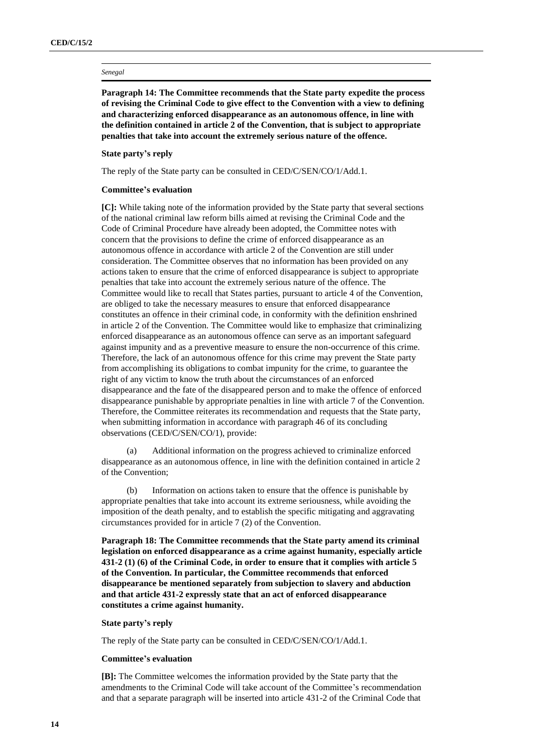#### *Senegal*

**Paragraph 14: The Committee recommends that the State party expedite the process of revising the Criminal Code to give effect to the Convention with a view to defining and characterizing enforced disappearance as an autonomous offence, in line with the definition contained in article 2 of the Convention, that is subject to appropriate penalties that take into account the extremely serious nature of the offence.**

## **State party's reply**

The reply of the State party can be consulted in CED/C/SEN/CO/1/Add.1.

#### **Committee's evaluation**

**[C]:** While taking note of the information provided by the State party that several sections of the national criminal law reform bills aimed at revising the Criminal Code and the Code of Criminal Procedure have already been adopted, the Committee notes with concern that the provisions to define the crime of enforced disappearance as an autonomous offence in accordance with article 2 of the Convention are still under consideration. The Committee observes that no information has been provided on any actions taken to ensure that the crime of enforced disappearance is subject to appropriate penalties that take into account the extremely serious nature of the offence. The Committee would like to recall that States parties, pursuant to article 4 of the Convention, are obliged to take the necessary measures to ensure that enforced disappearance constitutes an offence in their criminal code, in conformity with the definition enshrined in article 2 of the Convention. The Committee would like to emphasize that criminalizing enforced disappearance as an autonomous offence can serve as an important safeguard against impunity and as a preventive measure to ensure the non-occurrence of this crime. Therefore, the lack of an autonomous offence for this crime may prevent the State party from accomplishing its obligations to combat impunity for the crime, to guarantee the right of any victim to know the truth about the circumstances of an enforced disappearance and the fate of the disappeared person and to make the offence of enforced disappearance punishable by appropriate penalties in line with article 7 of the Convention. Therefore, the Committee reiterates its recommendation and requests that the State party, when submitting information in accordance with paragraph 46 of its concluding observations (CED/C/SEN/CO/1), provide:

(a) Additional information on the progress achieved to criminalize enforced disappearance as an autonomous offence, in line with the definition contained in article 2 of the Convention;

(b) Information on actions taken to ensure that the offence is punishable by appropriate penalties that take into account its extreme seriousness, while avoiding the imposition of the death penalty, and to establish the specific mitigating and aggravating circumstances provided for in article 7 (2) of the Convention.

**Paragraph 18: The Committee recommends that the State party amend its criminal legislation on enforced disappearance as a crime against humanity, especially article 431-2 (1) (6) of the Criminal Code, in order to ensure that it complies with article 5 of the Convention. In particular, the Committee recommends that enforced disappearance be mentioned separately from subjection to slavery and abduction and that article 431-2 expressly state that an act of enforced disappearance constitutes a crime against humanity.**

#### **State party's reply**

The reply of the State party can be consulted in CED/C/SEN/CO/1/Add.1.

#### **Committee's evaluation**

**[B]:** The Committee welcomes the information provided by the State party that the amendments to the Criminal Code will take account of the Committee's recommendation and that a separate paragraph will be inserted into article 431-2 of the Criminal Code that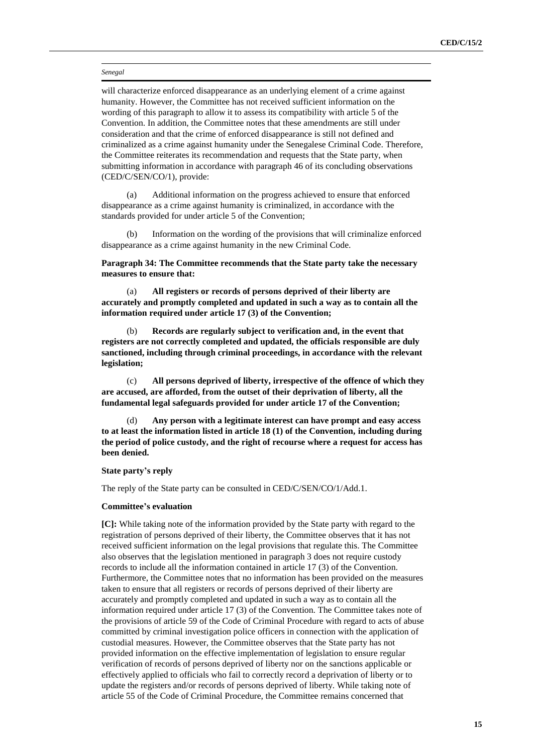#### *Senegal*

will characterize enforced disappearance as an underlying element of a crime against humanity. However, the Committee has not received sufficient information on the wording of this paragraph to allow it to assess its compatibility with article 5 of the Convention. In addition, the Committee notes that these amendments are still under consideration and that the crime of enforced disappearance is still not defined and criminalized as a crime against humanity under the Senegalese Criminal Code. Therefore, the Committee reiterates its recommendation and requests that the State party, when submitting information in accordance with paragraph 46 of its concluding observations (CED/C/SEN/CO/1), provide:

(a) Additional information on the progress achieved to ensure that enforced disappearance as a crime against humanity is criminalized, in accordance with the standards provided for under article 5 of the Convention;

Information on the wording of the provisions that will criminalize enforced disappearance as a crime against humanity in the new Criminal Code.

**Paragraph 34: The Committee recommends that the State party take the necessary measures to ensure that:**

(a) **All registers or records of persons deprived of their liberty are accurately and promptly completed and updated in such a way as to contain all the information required under article 17 (3) of the Convention;**

(b) **Records are regularly subject to verification and, in the event that registers are not correctly completed and updated, the officials responsible are duly sanctioned, including through criminal proceedings, in accordance with the relevant legislation;**

(c) **All persons deprived of liberty, irrespective of the offence of which they are accused, are afforded, from the outset of their deprivation of liberty, all the fundamental legal safeguards provided for under article 17 of the Convention;**

(d) **Any person with a legitimate interest can have prompt and easy access to at least the information listed in article 18 (1) of the Convention, including during the period of police custody, and the right of recourse where a request for access has been denied.**

## **State party's reply**

The reply of the State party can be consulted in CED/C/SEN/CO/1/Add.1.

## **Committee's evaluation**

**[C]:** While taking note of the information provided by the State party with regard to the registration of persons deprived of their liberty, the Committee observes that it has not received sufficient information on the legal provisions that regulate this. The Committee also observes that the legislation mentioned in paragraph 3 does not require custody records to include all the information contained in article 17 (3) of the Convention. Furthermore, the Committee notes that no information has been provided on the measures taken to ensure that all registers or records of persons deprived of their liberty are accurately and promptly completed and updated in such a way as to contain all the information required under article 17 (3) of the Convention. The Committee takes note of the provisions of article 59 of the Code of Criminal Procedure with regard to acts of abuse committed by criminal investigation police officers in connection with the application of custodial measures. However, the Committee observes that the State party has not provided information on the effective implementation of legislation to ensure regular verification of records of persons deprived of liberty nor on the sanctions applicable or effectively applied to officials who fail to correctly record a deprivation of liberty or to update the registers and/or records of persons deprived of liberty. While taking note of article 55 of the Code of Criminal Procedure, the Committee remains concerned that